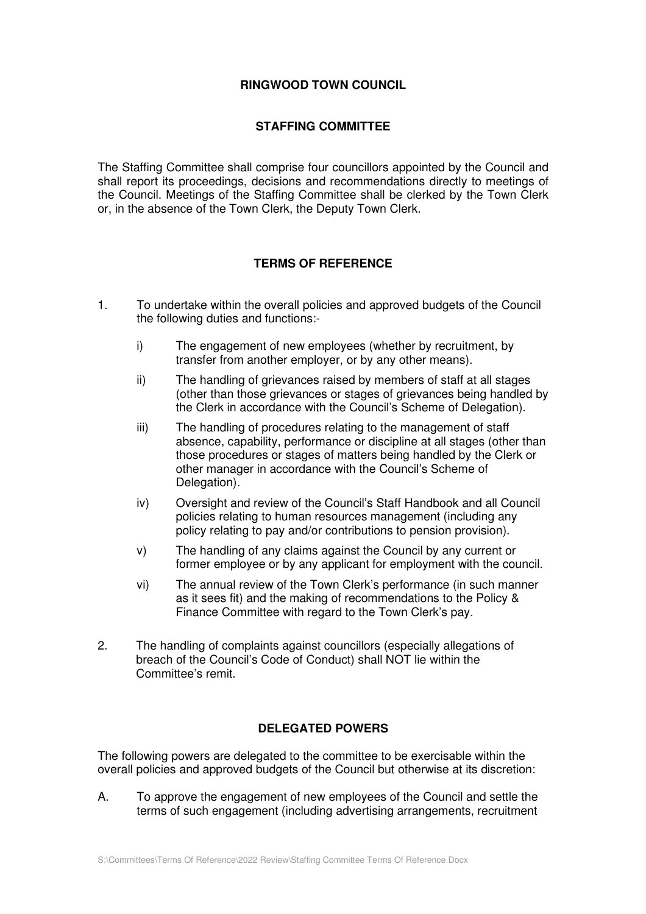## **RINGWOOD TOWN COUNCIL**

## **STAFFING COMMITTEE**

The Staffing Committee shall comprise four councillors appointed by the Council and shall report its proceedings, decisions and recommendations directly to meetings of the Council. Meetings of the Staffing Committee shall be clerked by the Town Clerk or, in the absence of the Town Clerk, the Deputy Town Clerk.

## **TERMS OF REFERENCE**

- 1. To undertake within the overall policies and approved budgets of the Council the following duties and functions:
	- i) The engagement of new employees (whether by recruitment, by transfer from another employer, or by any other means).
	- ii) The handling of grievances raised by members of staff at all stages (other than those grievances or stages of grievances being handled by the Clerk in accordance with the Council's Scheme of Delegation).
	- iii) The handling of procedures relating to the management of staff absence, capability, performance or discipline at all stages (other than those procedures or stages of matters being handled by the Clerk or other manager in accordance with the Council's Scheme of Delegation).
	- iv) Oversight and review of the Council's Staff Handbook and all Council policies relating to human resources management (including any policy relating to pay and/or contributions to pension provision).
	- v) The handling of any claims against the Council by any current or former employee or by any applicant for employment with the council.
	- vi) The annual review of the Town Clerk's performance (in such manner as it sees fit) and the making of recommendations to the Policy & Finance Committee with regard to the Town Clerk's pay.
- 2. The handling of complaints against councillors (especially allegations of breach of the Council's Code of Conduct) shall NOT lie within the Committee's remit.

## **DELEGATED POWERS**

The following powers are delegated to the committee to be exercisable within the overall policies and approved budgets of the Council but otherwise at its discretion:

A. To approve the engagement of new employees of the Council and settle the terms of such engagement (including advertising arrangements, recruitment